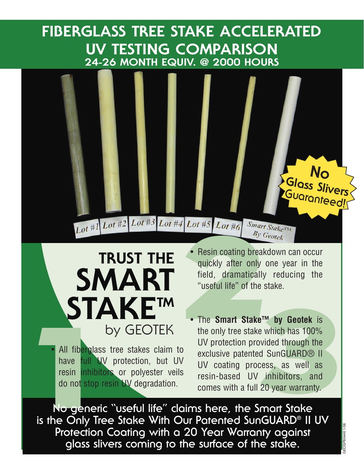## **FIBERGLASS TREE STAKE ACCELERATED UV TESTING COMPARISON 24-26 MONTH EQUIV. @ 2000 HOURS**



## by GEOTEK **TRUST THE SMART STAKETM**

All fiberglass tree stakes claim to have full UV protection, but UV resin inhibitors or polyester veils

- Resin coating breakdown can occur quickly after only one year in the field, dramatically reducing the "useful life" of the stake.
- STAKE<sup>TM</sup><br>STAKE<sup>TM</sup><br>BUCKET<sup>TM</sup><br>All fiberglass tree stakes claim to<br>the smart Stake<sup>TM</sup> by Geotek is<br>the only tree stake which has 100%<br>all fiberglass tree stakes claim to<br>luly protection provided through the<br>lave full SV p • The **Smart Stake™ by Geotek** is the only tree stake which has 100% UV protection provided through the exclusive patented SunGUARD® II UV coating process, as well as resin-based UV inhibitors, and comes with a full 20 year warranty.

**STAND STAND STAND STAND STAND STAND STAND STAND STAND STAND STAND STAND STAND STAND STAND STAND STAND STAND STAND STAND STAND STAND STAND STAND STAND STAND STAND STAND STAND STAND STAND STAND STAND STAND STAND STAND STAND No generic "useful life" claims here, the Smart Stake is the Only Tree Stake With Our Patented SunGUARD® II UV Protection Coating with a 20 Year Warranty against glass slivers coming to the surface of the stake.**